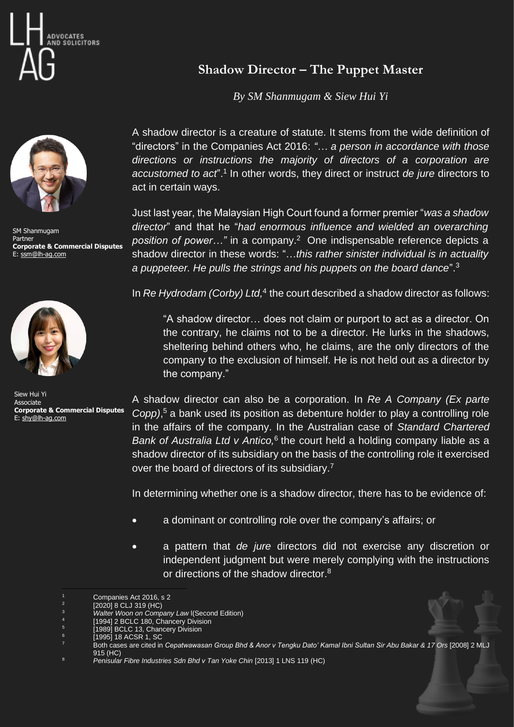



SM Shanmugam Partner **Corporate & Commercial Disputes** E: [ssm@lh-ag.com](mailto:ssm@lh-ag.com)



Siew Hui Yi Associate **Corporate & Commercial Disputes** E: [shy@lh-ag.com](mailto:shy@lh-ag.com)

## **Shadow Director – The Puppet Master**

*By SM Shanmugam & Siew Hui Yi*

A shadow director is a creature of statute. It stems from the wide definition of "directors" in the Companies Act 2016: *"… a person in accordance with those directions or instructions the majority of directors of a corporation are accustomed to act*".<sup>1</sup> In other words, they direct or instruct *de jure* directors to act in certain ways.

Just last year, the Malaysian High Court found a former premier "*was a shadow director*" and that he "*had enormous influence and wielded an overarching*  position of power..." in a company.<sup>2</sup> One indispensable reference depicts a shadow director in these words: "…*this rather sinister individual is in actuality a puppeteer. He pulls the strings and his puppets on the board dance*". 3

In *Re Hydrodam (Corby) Ltd,* 4 the court described a shadow director as follows:

"A shadow director… does not claim or purport to act as a director. On the contrary, he claims not to be a director. He lurks in the shadows, sheltering behind others who, he claims, are the only directors of the company to the exclusion of himself. He is not held out as a director by the company."

A shadow director can also be a corporation. In *Re A Company (Ex parte Copp)*, <sup>5</sup> a bank used its position as debenture holder to play a controlling role in the affairs of the company. In the Australian case of *Standard Chartered*  Bank of Australia Ltd v Antico,<sup>6</sup> the court held a holding company liable as a shadow director of its subsidiary on the basis of the controlling role it exercised over the board of directors of its subsidiary.<sup>7</sup>

In determining whether one is a shadow director, there has to be evidence of:

- a dominant or controlling role over the company's affairs; or
- a pattern that *de jure* directors did not exercise any discretion or independent judgment but were merely complying with the instructions or directions of the shadow director.<sup>8</sup>

Companies Act 2016, s 2

<sup>2</sup> [2020] 8 CLJ 319 (HC)

<sup>3</sup> *Walter Woon on Company Law* l(Second Edition)

<sup>4</sup> [1994] 2 BCLC 180, Chancery Division

<sup>[1989]</sup> BCLC 13, Chancery Division

<sup>[1995] 18</sup> ACSR 1, SC

<sup>7</sup> Both cases are cited in *Cepatwawasan Group Bhd & Anor v Tengku Dato' Kamal Ibni Sultan Sir Abu Bakar & 17 Ors* [2008] 2 MLJ 915 (HC)

<sup>8</sup> *Penisular Fibre Industries Sdn Bhd v Tan Yoke Chin* [2013] 1 LNS 119 (HC)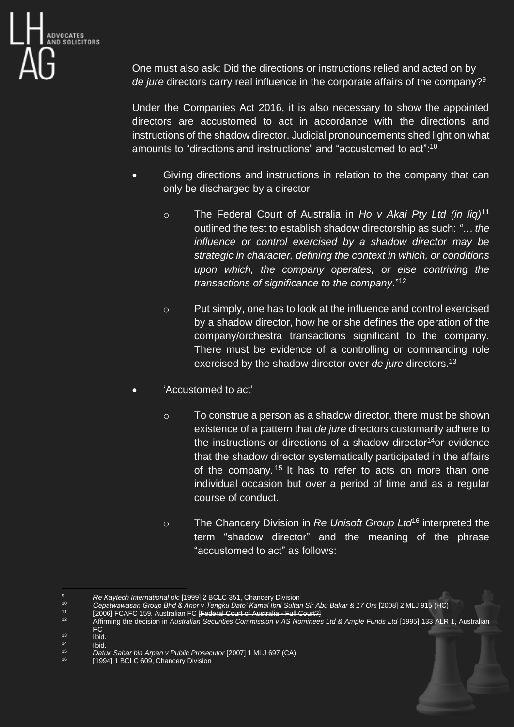

One must also ask: Did the directions or instructions relied and acted on by de jure directors carry real influence in the corporate affairs of the company?<sup>9</sup>

Under the Companies Act 2016, it is also necessary to show the appointed directors are accustomed to act in accordance with the directions and instructions of the shadow director. Judicial pronouncements shed light on what amounts to "directions and instructions" and "accustomed to act":<sup>10</sup>

- Giving directions and instructions in relation to the company that can only be discharged by a director
	- o The Federal Court of Australia in *Ho v Akai Pty Ltd (in liq)* 11 outlined the test to establish shadow directorship as such: *"… the influence or control exercised by a shadow director may be strategic in character, defining the context in which, or conditions upon which, the company operates, or else contriving the transactions of significance to the company*." 12
	- o Put simply, one has to look at the influence and control exercised by a shadow director, how he or she defines the operation of the company/orchestra transactions significant to the company. There must be evidence of a controlling or commanding role exercised by the shadow director over *de jure* directors.<sup>13</sup>
- 'Accustomed to act'
	- o To construe a person as a shadow director, there must be shown existence of a pattern that *de jure* directors customarily adhere to the instructions or directions of a shadow director<sup>14</sup>or evidence that the shadow director systematically participated in the affairs of the company.<sup>15</sup> It has to refer to acts on more than one individual occasion but over a period of time and as a regular course of conduct.
	- o The Chancery Division in *Re Unisoft Group Ltd*<sup>16</sup> interpreted the term "shadow director" and the meaning of the phrase "accustomed to act" as follows:

<sup>9</sup> *Re Kaytech International plc* [1999] 2 BCLC 351, Chancery Division

<sup>10</sup> *Cepatwawasan Group Bhd & Anor v Tengku Dato' Kamal Ibni Sultan Sir Abu Bakar & 17 Ors* [2008] 2 MLJ 915 (HC)

<sup>&</sup>lt;sup>11</sup> [2006] FCAFC 159, Australian FC [Federal Court of Australia - Full Court?]

<sup>&</sup>lt;sup>12</sup> Affirming the decision in Australian Securities Commission v AS Nominees Ltd & Ample Funds Ltd [1995] 133 ALR 1, Australian FC

 $\frac{13}{14}$  Ibid.

 $14$  Ibid.<br> $15$  Dati

<sup>15</sup> *Datuk Sahar bin Arpan v Public Prosecutor* [2007] 1 MLJ 697 (CA)

<sup>[1994] 1</sup> BCLC 609, Chancery Division